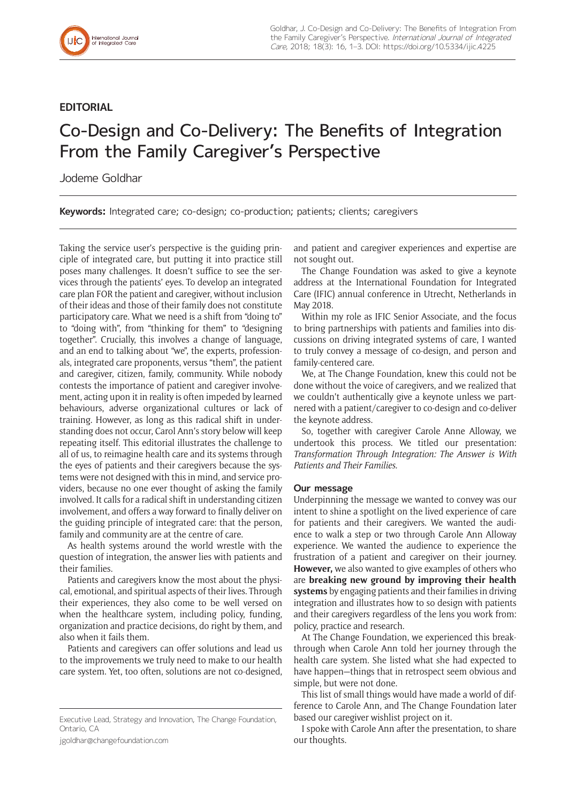

## **EDITORIAL**

## Co-Design and Co-Delivery: The Benefits of Integration From the Family Caregiver's Perspective

Jodeme Goldhar

**Keywords:** Integrated care; co-design; co-production; patients; clients; caregivers

Taking the service user's perspective is the guiding principle of integrated care, but putting it into practice still poses many challenges. It doesn't suffice to see the services through the patients' eyes. To develop an integrated care plan FOR the patient and caregiver, without inclusion of their ideas and those of their family does not constitute participatory care. What we need is a shift from "doing to" to "doing with", from "thinking for them" to "designing together". Crucially, this involves a change of language, and an end to talking about "we", the experts, professionals, integrated care proponents, versus "them", the patient and caregiver, citizen, family, community. While nobody contests the importance of patient and caregiver involvement, acting upon it in reality is often impeded by learned behaviours, adverse organizational cultures or lack of training. However, as long as this radical shift in understanding does not occur, Carol Ann's story below will keep repeating itself. This editorial illustrates the challenge to all of us, to reimagine health care and its systems through the eyes of patients and their caregivers because the systems were not designed with this in mind, and service providers, because no one ever thought of asking the family involved. It calls for a radical shift in understanding citizen involvement, and offers a way forward to finally deliver on the guiding principle of integrated care: that the person, family and community are at the centre of care.

As health systems around the world wrestle with the question of integration, the answer lies with patients and their families.

Patients and caregivers know the most about the physical, emotional, and spiritual aspects of their lives. Through their experiences, they also come to be well versed on when the healthcare system, including policy, funding, organization and practice decisions, do right by them, and also when it fails them.

Patients and caregivers can offer solutions and lead us to the improvements we truly need to make to our health care system. Yet, too often, solutions are not co-designed,

[jgoldhar@changefoundation.com](mailto:jgoldhar@changefoundation.com)

and patient and caregiver experiences and expertise are not sought out.

The Change Foundation was asked to give a keynote address at the International Foundation for Integrated Care (IFIC) annual conference in Utrecht, Netherlands in May 2018.

Within my role as IFIC Senior Associate, and the focus to bring partnerships with patients and families into discussions on driving integrated systems of care, I wanted to truly convey a message of co-design, and person and family-centered care.

We, at The Change Foundation, knew this could not be done without the voice of caregivers, and we realized that we couldn't authentically give a keynote unless we partnered with a patient/caregiver to co-design and co-deliver the keynote address.

So, together with caregiver Carole Anne Alloway, we undertook this process. We titled our presentation: *Transformation Through Integration: The Answer is With Patients and Their Families.*

## **Our message**

Underpinning the message we wanted to convey was our intent to shine a spotlight on the lived experience of care for patients and their caregivers. We wanted the audience to walk a step or two through Carole Ann Alloway experience. We wanted the audience to experience the frustration of a patient and caregiver on their journey. **However,** we also wanted to give examples of others who are **breaking new ground by improving their health systems** by engaging patients and their families in driving integration and illustrates how to so design with patients and their caregivers regardless of the lens you work from: policy, practice and research.

At The Change Foundation, we experienced this breakthrough when Carole Ann told her journey through the health care system. She listed what she had expected to have happen—things that in retrospect seem obvious and simple, but were not done.

This list of small things would have made a world of difference to Carole Ann, and The Change Foundation later based our [caregiver wishlist](https://www.changefoundation.ca/caregiver-wishlist/) project on it.

I spoke with Carole Ann after the presentation, to share our thoughts.

Executive Lead, Strategy and Innovation, The Change Foundation, Ontario, CA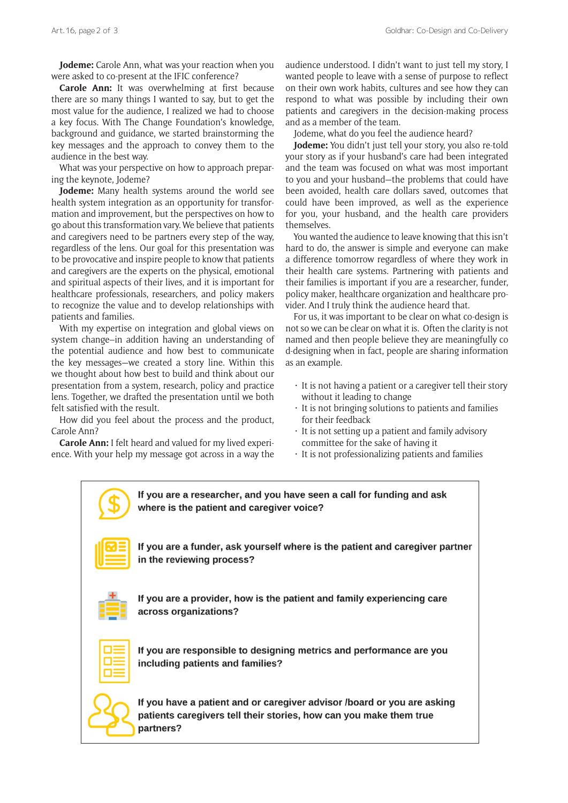**Jodeme:** Carole Ann, what was your reaction when you were asked to co-present at the IFIC conference?

**Carole Ann:** It was overwhelming at first because there are so many things I wanted to say, but to get the most value for the audience, I realized we had to choose a key focus. With The Change Foundation's knowledge, background and guidance, we started brainstorming the key messages and the approach to convey them to the audience in the best way.

What was your perspective on how to approach preparing the keynote, Jodeme?

**Jodeme:** Many health systems around the world see health system integration as an opportunity for transformation and improvement, but the perspectives on how to go about this transformation vary. We believe that patients and caregivers need to be partners every step of the way, regardless of the lens. Our goal for this presentation was to be provocative and inspire people to know that patients and caregivers are the experts on the physical, emotional and spiritual aspects of their lives, and it is important for healthcare professionals, researchers, and policy makers to recognize the value and to develop relationships with patients and families.

With my expertise on integration and global views on system change–in addition having an understanding of the potential audience and how best to communicate the key messages—we created a story line. Within this we thought about how best to build and think about our presentation from a system, research, policy and practice lens. Together, we drafted the presentation until we both felt satisfied with the result.

How did you feel about the process and the product, Carole Ann?

**Carole Ann:** I felt heard and valued for my lived experience. With your help my message got across in a way the

audience understood. I didn't want to just tell my story, I wanted people to leave with a sense of purpose to reflect on their own work habits, cultures and see how they can respond to what was possible by including their own patients and caregivers in the decision-making process and as a member of the team.

Jodeme, what do you feel the audience heard?

**Jodeme:** You didn't just tell your story, you also re-told your story as if your husband's care had been integrated and the team was focused on what was most important to you and your husband—the problems that could have been avoided, health care dollars saved, outcomes that could have been improved, as well as the experience for you, your husband, and the health care providers themselves.

You wanted the audience to leave knowing that this isn't hard to do, the answer is simple and everyone can make a difference tomorrow regardless of where they work in their health care systems. Partnering with patients and their families is important if you are a researcher, funder, policy maker, healthcare organization and healthcare provider. And I truly think the audience heard that.

For us, it was important to be clear on what co-design is not so we can be clear on what it is. Often the clarity is not named and then people believe they are meaningfully co d-designing when in fact, people are sharing information as an example.

- It is not having a patient or a caregiver tell their story without it leading to change
- It is not bringing solutions to patients and families for their feedback
- It is not setting up a patient and family advisory committee for the sake of having it
- It is not professionalizing patients and families